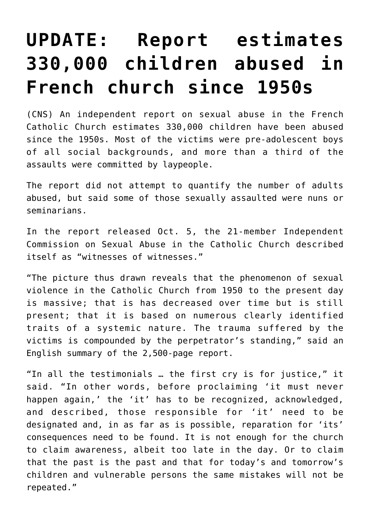## **[UPDATE: Report estimates](https://www.osvnews.com/2021/10/04/report-estimates-330000-children-abused-in-french-church-since-1950s/) [330,000 children abused in](https://www.osvnews.com/2021/10/04/report-estimates-330000-children-abused-in-french-church-since-1950s/) [French church since 1950s](https://www.osvnews.com/2021/10/04/report-estimates-330000-children-abused-in-french-church-since-1950s/)**

(CNS) An independent report on sexual abuse in the French Catholic Church estimates 330,000 children have been abused since the 1950s. Most of the victims were pre-adolescent boys of all social backgrounds, and more than a third of the assaults were committed by laypeople.

The report did not attempt to quantify the number of adults abused, but said some of those sexually assaulted were nuns or seminarians.

In the report released Oct. 5, the 21-member Independent Commission on Sexual Abuse in the Catholic Church described itself as "witnesses of witnesses."

"The picture thus drawn reveals that the phenomenon of sexual violence in the Catholic Church from 1950 to the present day is massive; that is has decreased over time but is still present; that it is based on numerous clearly identified traits of a systemic nature. The trauma suffered by the victims is compounded by the perpetrator's standing," said an English summary of the 2,500-page report.

"In all the testimonials … the first cry is for justice," it said. "In other words, before proclaiming 'it must never happen again,' the 'it' has to be recognized, acknowledged, and described, those responsible for 'it' need to be designated and, in as far as is possible, reparation for 'its' consequences need to be found. It is not enough for the church to claim awareness, albeit too late in the day. Or to claim that the past is the past and that for today's and tomorrow's children and vulnerable persons the same mistakes will not be repeated."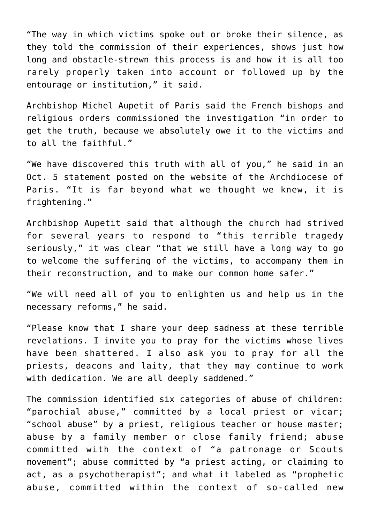"The way in which victims spoke out or broke their silence, as they told the commission of their experiences, shows just how long and obstacle-strewn this process is and how it is all too rarely properly taken into account or followed up by the entourage or institution," it said.

Archbishop Michel Aupetit of Paris said the French bishops and religious orders commissioned the investigation "in order to get the truth, because we absolutely owe it to the victims and to all the faithful."

"We have discovered this truth with all of you," he said in an Oct. 5 statement posted on the website of the Archdiocese of Paris. "It is far beyond what we thought we knew, it is frightening."

Archbishop Aupetit said that although the church had strived for several years to respond to "this terrible tragedy seriously," it was clear "that we still have a long way to go to welcome the suffering of the victims, to accompany them in their reconstruction, and to make our common home safer."

"We will need all of you to enlighten us and help us in the necessary reforms," he said.

"Please know that I share your deep sadness at these terrible revelations. I invite you to pray for the victims whose lives have been shattered. I also ask you to pray for all the priests, deacons and laity, that they may continue to work with dedication. We are all deeply saddened."

The commission identified six categories of abuse of children: "parochial abuse," committed by a local priest or vicar; "school abuse" by a priest, religious teacher or house master; abuse by a family member or close family friend; abuse committed with the context of "a patronage or Scouts movement"; abuse committed by "a priest acting, or claiming to act, as a psychotherapist"; and what it labeled as "prophetic abuse, committed within the context of so-called new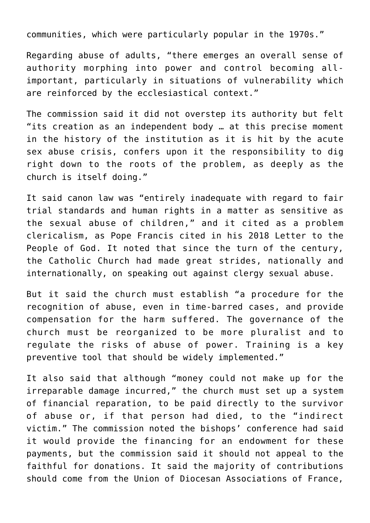communities, which were particularly popular in the 1970s."

Regarding abuse of adults, "there emerges an overall sense of authority morphing into power and control becoming allimportant, particularly in situations of vulnerability which are reinforced by the ecclesiastical context."

The commission said it did not overstep its authority but felt "its creation as an independent body … at this precise moment in the history of the institution as it is hit by the acute sex abuse crisis, confers upon it the responsibility to dig right down to the roots of the problem, as deeply as the church is itself doing."

It said canon law was "entirely inadequate with regard to fair trial standards and human rights in a matter as sensitive as the sexual abuse of children," and it cited as a problem clericalism, as Pope Francis cited in his 2018 Letter to the People of God. It noted that since the turn of the century, the Catholic Church had made great strides, nationally and internationally, on speaking out against clergy sexual abuse.

But it said the church must establish "a procedure for the recognition of abuse, even in time-barred cases, and provide compensation for the harm suffered. The governance of the church must be reorganized to be more pluralist and to regulate the risks of abuse of power. Training is a key preventive tool that should be widely implemented."

It also said that although "money could not make up for the irreparable damage incurred," the church must set up a system of financial reparation, to be paid directly to the survivor of abuse or, if that person had died, to the "indirect victim." The commission noted the bishops' conference had said it would provide the financing for an endowment for these payments, but the commission said it should not appeal to the faithful for donations. It said the majority of contributions should come from the Union of Diocesan Associations of France,